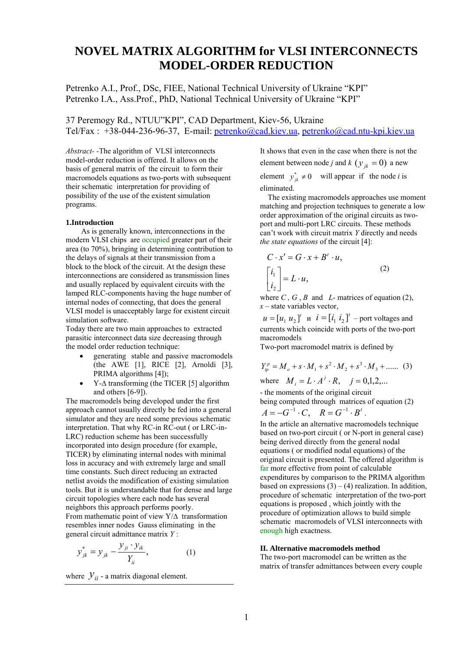# **NOVEL MATRIX ALGORITHM for VLSI INTERCONNECTS MODEL-ORDER REDUCTION**

Petrenko A.I., Prof., DSc, FIEE, National Technical University of Ukraine "KPI" Petrenko I.A., Ass.Prof., PhD, National Technical University of Ukraine "KPI"

37 Peremogy Rd., NTUU"KPI", CAD Department, Kiev-56, Ukraine Tel/Fax : +38-044-236-96-37, E-mail: petrenko@cad.kiev.ua, petrenko@cad.ntu-kpi.kiev.ua

*Abstract- -*The algorithm of VLSI interconnects model-order reduction is offered. It allows on the basis of general matrix of the circuit to form their macromodels equations as two-ports with subsequent their schematic interpretation for providing of possibility of the use of the existent simulation programs.

#### **1.Introduction**

 As is generally known, interconnections in the modern VLSI chips are occupied greater part of their area (to 70%), bringing in determining contribution to the delays of signals at their transmission from a block to the block of the circuit. At the design these interconnections are considered as transmission lines and usually replaced by equivalent circuits with the lamped RLC-components having the huge number of internal nodes of connecting, that does the general VLSI model is unacceptably large for existent circuit simulation software.

Today there are two main approaches to extracted parasitic interconnect data size decreasing through the model order reduction technique:

- generating stable and passive macromodels (the AWE [1], RICE [2], Arnoldi [3], PRIMA algorithms [4]);
- Y-∆ transforming (the TICER [5] algorithm and others [6-9]).

The macromodels being developed under the first approach cannot usually directly be fed into a general simulator and they are need some previous schematic interpretation. That why RC-in RC-out ( or LRC-in-LRC) reduction scheme has been successfully incorporated into design procedure (for example, TICER) by eliminating internal nodes with minimal loss in accuracy and with extremely large and small time constants. Such direct reducing an extracted netlist avoids the modification of existing simulation tools. But it is understandable that for dense and large circuit topologies where each node has several neighbors this approach performs poorly. From mathematic point of view Y/∆ transformation resembles inner nodes Gauss eliminating in the general circuit admittance matrix *Y* :

$$
y_{jk}^{*} = y_{jk} - \frac{y_{ji} \cdot y_{ik}}{Y_{ii}},
$$
 (1)

where  $y_{ii}$  - a matrix diagonal element.

It shows that even in the case when there is not the element between node *j* and *k* ( $y_{ik} = 0$ ) a new element  $y_{ik}^* \neq 0$  will appear if the node *i* is eliminated.

 The existing macromodels approaches use moment matching and projection techniques to generate a low order approximation of the original circuits as twoport and multi-port LRC circuits. These methods can't work with circuit matrix *Y* directly and needs *the state equations* of the circuit [4]:

$$
C \cdot x' = G \cdot x + B' \cdot u,
$$
  
\n
$$
\begin{bmatrix} i_1 \\ i_2 \end{bmatrix} = L \cdot u,
$$
\n(2)

where  $C$ ,  $G$ ,  $B$  and  $L$ - matrices of equation (2), *x* – state variables vector,

 $u = [u_1 u_2]^t$  *u*  $i = [i_1 i_2]^t$  – port voltages and currents which coincide with ports of the two-port macromodels

Two-port macromodel matrix is defined by

$$
Y_p^p = M_o + s \cdot M_1 + s^2 \cdot M_2 + s^3 \cdot M_3 + \dots
$$
 (3)  
where  $M_a = I_a A^j$ ,  $P_a = i = 0.1.2$ 

where  $M_i = L \cdot A^j \cdot R$ ,  $j = 0,1,2,...$ 

- the moments of the original circuit being computed through matrices of equation (2)

$$
A=-G^{-1}\cdot C, \quad R=G^{-1}\cdot B^t.
$$

In the article an alternative macromodels technique based on two-port circuit ( or N-port in general case) being derived directly from the general nodal equations ( or modified nodal equations) of the original circuit is presented. The offered algorithm is far more effective from point of calculable expenditures by comparison to the PRIMA algorithm based on expressions  $(3) - (4)$  realization. In addition, procedure of schematic interpretation of the two-port equations is proposed , which jointly with the procedure of optimization allows to build simple schematic macromodels of VLSI interconnects with enough high exactness.

# **II. Alternative macromodels method**

The two-port macromodel can be written as the matrix of transfer admittances between every couple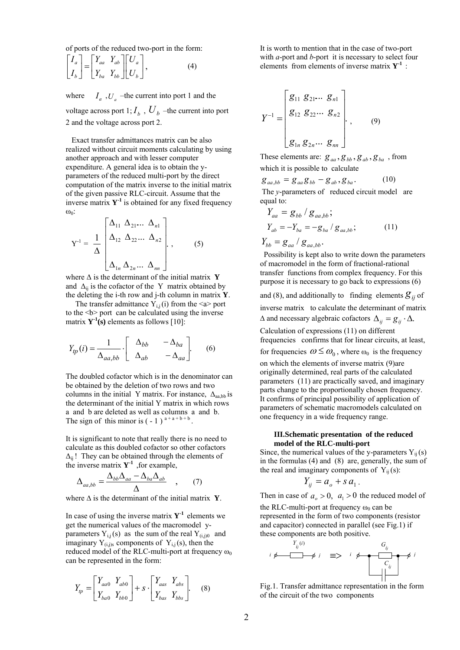of ports of the reduced two-port in the form:

$$
\begin{bmatrix} I_a \\ I_b \end{bmatrix} = \begin{bmatrix} Y_{aa} & Y_{ab} \\ Y_{ba} & Y_{bb} \end{bmatrix} \begin{bmatrix} U_a \\ U_b \end{bmatrix},
$$
(4)

where  $I_a$ ,  $U_a$  –the current into port 1 and the voltage across port 1;  $I_b$ ,  $U_b$  –the current into port 2 and the voltage across port 2.

 Exact transfer admittances matrix can be also realized without circuit moments calculating by using another approach and with lesser computer expenditure. A general idea is to obtain the уparameters of the reduced multi-port by the direct computation of the matrix inverse to the initial matrix of the given passive RLC-circuit. Assume that the inverse matrix  $Y<sup>1</sup>$  is obtained for any fixed frequency ω0:

$$
Y^{-1} = \frac{1}{\Delta} \begin{bmatrix} \Delta_{11} & \Delta_{21} & \Delta_{n1} \\ \Delta_{12} & \Delta_{22} & \Delta_{n2} \\ \Delta_{1n} & \Delta_{2n} & \Delta_{nn} \end{bmatrix} , \qquad (5)
$$

where Δ is the determinant of the initial matrix **Y** and  $\Delta_{ii}$  is the cofactor of the Y matrix obtained by the deleting the i-th row and j-th column in matrix **Y**.

The transfer admittance  $Y_{i,j}(i)$  from the  $\le a$  port to the  **port can be calculated using the inverse** matrix  $Y^1(s)$  elements as follows [10]:

$$
Y_{tp}(i) = \frac{1}{\Delta_{aa,bb}} \cdot \begin{bmatrix} \Delta_{bb} & -\Delta_{ba} \\ \Delta_{ab} & -\Delta_{aa} \end{bmatrix}.
$$
 (6)

The doubled cofactor which is in the denominator can be obtained by the deletion of two rows and two columns in the initial Y matrix. For instance,  $\Delta_{\alpha}$  bb is the determinant of the initial Y matrix in which rows a and b are deleted as well as columns a and b. The sign of this minor is  $(-1)^{a+a+b+b}$ 

It is significant to note that really there is no need to calculate as this doubled cofactor so other cofactors  $\Delta_{ii}$ ! They can be obtained through the elements of the inverse matrix  $Y^1$ , for example,

$$
\Delta_{aa,bb} = \frac{\Delta_{bb}\Delta_{aa} - \Delta_{ba}\Delta_{ab}}{\Delta} \quad , \quad (7)
$$

where  $\Delta$  is the determinant of the initial matrix **Y**.

In case of using the inverse matrix  $Y^1$  elements we get the numerical values of the macromodel yparameters  $Y_{i,j}(s)$  as the sum of the real  $Y_{(i,j)0}$  and imaginary  $Y_{(i,j)s}$  components of  $Y_{i,j}(s)$ , then the reduced model of the RLC-multi-port at frequency  $\omega_0$ can be represented in the form:

$$
Y_{tp} = \begin{bmatrix} Y_{aa0} & Y_{ab0} \\ Y_{ba0} & Y_{bb0} \end{bmatrix} + s \cdot \begin{bmatrix} Y_{aas} & Y_{abs} \\ Y_{bas} & Y_{bbs} \end{bmatrix}.
$$
 (8)

It is worth to mention that in the case of two-port with *a*-port and *b*-port it is necessary to select four elements from elements of inverse matrix  $Y^1$ :

$$
Y^{-1} = \begin{bmatrix} g_{11} & g_{21} & \ldots & g_{n1} \\ g_{12} & g_{22} & \ldots & g_{n2} \\ \vdots & \vdots & \ddots & \vdots \\ g_{1n} & g_{2n} & \ldots & g_{nn} \end{bmatrix} .
$$
 (9)

These elements are:  $g_{aa}$ ,  $g_{bb}$ ,  $g_{ab}$ ,  $g_{ba}$ , from which it is possible to calculate

$$
g_{aa,bb} = g_{aa}g_{bb} - g_{ab}, g_{ba}.
$$
 (10)

The *y*-parameters of reduced circuit model are equal to:

$$
Y_{aa} = g_{bb} / g_{aa,bb};
$$
  
\n
$$
Y_{ab} = -Y_{ba} = -g_{ba} / g_{aa,bb};
$$
  
\n
$$
Y_{bb} = g_{aa} / g_{aa,bb}.
$$
  
\n(11)

 Possibility is kept also to write down the parameters of macromodel in the form of fractional-rational transfer functions from complex frequency. For this purpose it is necessary to go back to expressions (6)

and (8), and additionally to finding elements  $g_{ij}$  of inverse matrix to calculate the determinant of matrix  $\Delta$  and necessary algebraic cofactors  $\Delta_{ii} = g_{ii} \cdot \Delta$ .

Calculation of expressions (11) on different frequencies confirms that for linear circuits, at least, for frequencies  $\omega \leq \omega_0$ , where  $\omega_0$  is the frequency on which the elements of inverse matrix (9)are originally determined, real parts of the calculated parameters (11) are practically saved, and imaginary parts change to the proportionally chosen frequency. It confirms of principal possibility of application of parameters of schematic macromodels calculated on one frequency in a wide frequency range.

#### **III.Schematic presentation of the reduced model of the RLC-multi-port**

Since, the numerical values of the y-parameters  $Y_{ii}(s)$ in the formulas (4) and (8) are, generally, the sum of the real and imaginary components of  $Y_{ii}(s)$ :

$$
Y_{ij} = a_o + s a_1.
$$

Then in case of  $a_0 > 0$ ,  $a_1 > 0$  the reduced model of

the RLC-multi-port at frequency  $\omega_0$  can be represented in the form of two components (resistor and capacitor) connected in parallel (see Fig.1) if these components are both positive.

$$
i \not\iff \qquad i \not\iff i \not\iff \qquad \frac{G_{ij}}{\bigcup_{j \in J} G_{ij}} \not\iff i \not\iff \qquad \frac{G_{ij}}{\bigcup_{j \in J} G_{ij}} \not\iff i \not\iff \qquad \frac{G_{ij}}{\bigcup_{j \in J} G_{ij}} \not\iff i \not\iff \frac{G_{ij}}{\bigcup_{j \in J} G_{ij}} \not\iff i \not\iff \frac{G_{ij}}{\bigcup_{j \in J} G_{ij}} \not\iff i \not\iff \frac{G_{ij}}{\bigcup_{j \in J} G_{ij}} \not\iff i \not\iff \frac{G_{ij}}{\bigcup_{j \in J} G_{ij}} \not\iff i \not\iff \frac{G_{ij}}{\bigcup_{j \in J} G_{ij}} \not\iff i \not\iff \frac{G_{ij}}{\bigcup_{j \in J} G_{ij}} \not\iff i \not\iff \frac{G_{ij}}{\bigcup_{j \in J} G_{ij}} \not\iff i \not\iff \frac{G_{ij}}{\bigcup_{j \in J} G_{ij}} \not\iff i \not\iff \frac{G_{ij}}{\bigcup_{j \in J} G_{ij}} \not\iff i \not\iff \frac{G_{ij}}{\bigcup_{j \in J} G_{ij}} \not\iff i \not\iff \frac{G_{ij}}{\bigcup_{j \in J} G_{ij}} \not\iff i \not\iff \frac{G_{ij}}{\bigcup_{j \in J} G_{ij}} \not\iff i \not\iff \frac{G_{ij}}{\bigcup_{j \in J} G_{ij}} \not\iff i \not\iff \frac{G_{ij}}{\bigcup_{j \in J} G_{ij}} \not\iff i \not\iff \frac{G_{ij}}{\bigcup_{j \in J} G_{ij}} \not\iff i \not\iff \frac{G_{ij}}{\bigcup_{j \in J} G_{ij}} \not\iff i \not\iff \frac{G_{ij}}{\bigcup_{j \in J} G_{ij}} \not\iff i \not\iff \frac{G_{ij}}{\bigcup_{j \in J} G_{ij}} \not\iff i \not\iff \frac{G_{ij}}{\bigcup_{j \in J} G_{ij}} \not\iff i \not\iff \frac{G_{ij}}{\bigcup_{j \in J} G_{ij}} \not\iff i \not\iff \frac{G_{ij}}{\bigcup_{j \in J} G_{ij}} \not\iff i \not\iff \frac{G_{ij}}{\bigcup_{j \in J} G_{ij}} \not\iff i \not\iff \frac{G_{ij}}
$$

Fig.1. Transfer admittance representation in the form of the circuit of the two components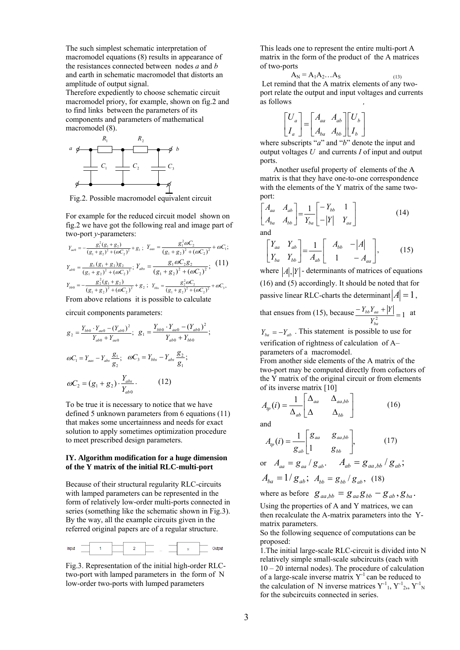The such simplest schematic interpretation of macromodel equations (8) results in appearance of the resistances connected between nodes *a* and *b* and earth in schematic macromodel that distorts an amplitude of output signal.

Therefore expediently to choose schematic circuit macromodel priory, for example, shown on fig.2 and to find links between the parameters of its components and parameters of mathematical macromodel (8).



Fig.2. Possible macromodel equivalent circuit

For example for the reduced circuit model shown on fig.2 we have got the following real and image part of two-port *y*-parameters:

$$
Y_{aa0} = -\frac{g_1^2 (g_1 + g_2)}{(g_1 + g_2)^2 + (\omega C_2)^2} + g_1; \ Y_{aas} = \frac{g_1^2 \omega C_2}{(g_1 + g_2)^2 + (\omega C_2)^2} + \omega C_1;
$$
  
\n
$$
Y_{ab0} = \frac{g_1 (g_1 + g_2)g_2}{(g_1 + g_2)^2 + (\omega C_2)^2}; \ Y_{abs} = \frac{g_1 \omega C_2 g_2}{(g_1 + g_2)^2 + (\omega C_2)^2}; \ (11)
$$
  
\n
$$
Y_{bb00} = -\frac{g_2^2 (g_1 + g_2)}{(g_1 + g_2)^2 + (\omega C_2)^2} + g_2; \ Y_{bbs} = \frac{g_2^2 \omega C_2}{(g_1 + g_2)^2 + (\omega C_2)^2} + \omega C_3,
$$
  
\nFrom above relations it is possible to calculate

circuit components parameters:

$$
g_2 = \frac{Y_{bb0} \cdot Y_{aa0} - (Y_{ab0})^2}{Y_{ab0} + Y_{aa0}}; \quad g_1 = \frac{Y_{bb0} \cdot Y_{aa0} - (Y_{ab0})^2}{Y_{ab0} + Y_{bb0}};
$$

$$
\omega C_1 = Y_{aas} - Y_{abs} \frac{g_1}{g_2}; \quad \omega C_3 = Y_{bbs} - Y_{abs} \frac{g_2}{g_1};
$$

$$
\omega C_2 = (g_1 + g_2) \cdot \frac{Y_{abs}}{Y_{ab0}}.
$$
(12)

To be true it is necessary to notice that we have defined 5 unknown parameters from 6 equations (11) that makes some uncertainness and needs for exact solution to apply sometimes optimization procedure to meet prescribed design parameters.

# **IY. Algorithm modification for a huge dimension of the Y matrix of the initial RLC-multi-port**

Because of their structural regularity RLC-circuits with lamped parameters can be represented in the form of relatively low-order multi-ports connected in series (something like the schematic shown in Fig.3). By the way, all the example circuits given in the referred original papers are of a regular structure.



Fig.3. Representation of the initial high-order RLCtwo-port with lamped parameters in the form of N low-order two-ports with lumped parameters

This leads one to represent the entire multi-port A matrix in the form of the product of the A matrices of two-ports

$$
A_N = A_1 A_2 ... A_S
$$
  
Let remind that the A matrix elements of any two-

port relate the output and input voltages and currents as follows *,*

$$
\begin{bmatrix} U_a \\ I_a \end{bmatrix} = \begin{bmatrix} A_{aa} & A_{ab} \\ A_{ba} & A_{bb} \end{bmatrix} \begin{bmatrix} U_b \\ I_b \end{bmatrix}
$$

where subscripts "*a*" and "*b*" denote the input and output voltages *U* and currents *I* of input and output ports.

 Another useful property of elements of the A matrix is that they have one-to-one correspondence with the elements of the Y matrix of the same twoport:

$$
\begin{bmatrix} A_{aa} & A_{ab} \\ A_{ba} & A_{bb} \end{bmatrix} = \frac{1}{Y_{ba}} \begin{bmatrix} -Y_{bb} & 1 \\ -|Y| & Y_{aa} \end{bmatrix} \tag{14}
$$
\nand

$$
\begin{bmatrix} Y_{aa} & Y_{ab} \\ Y_{ba} & Y_{bb} \end{bmatrix} = \frac{1}{A_{ab}} \begin{bmatrix} A_{bb} & -|A| \\ 1 & -A_{aa} \end{bmatrix},
$$
 (15)

where  $|A|$ ,  $|Y|$  - determinants of matrices of equations (16) and (5) accordingly. It should be noted that for passive linear RLC-charts the determinant  $|A| = 1$ , that ensues from (15), because  $\frac{-Y_{bb}Y_{aa} + |Y|}{Y_{ba}^2} = 1$ *bb aa*  $\frac{Y_{bb}Y_{aa} + |Y|}{Z} = 1$  at

*Y*

 $Y_{ba} = -Y_{ab}$ . This statement is possible to use for verification of rightness of calculation of A– parameters of a macromodel.

From another side elements of the A matrix of the two-port may be computed directly from cofactors of the Y matrix of the original circuit or from elements of its inverse matrix [10]

$$
A_{tp}(i) = \frac{1}{\Delta_{ab}} \begin{bmatrix} \Delta_{aa} & \Delta_{aa,bb} \\ \Delta & \Delta_{bb} \end{bmatrix}
$$
 (16)

and

$$
A_{ip}(i) = \frac{1}{g_{ab}} \begin{bmatrix} g_{aa} & g_{aa,bb} \\ 1 & g_{bb} \end{bmatrix},\tag{17}
$$

or 
$$
A_{aa} = g_{aa} / g_{ab}
$$
.  $A_{ab} = g_{aa,bb} / g_{ab}$ ;  
 $A = 1 / \alpha$  :  $A = \alpha / \alpha$  (19)

$$
A_{ba} = 1/g_{ab}, \ A_{bb} = g_{bb}/g_{ab}, \ (18)
$$
  
where as before  $\sigma = \sigma_a \sigma_a = \sigma_a$ 

where as before  $g_{aa, bb} = g_{aa}g_{bb} - g_{ab}$ ,  $g_{ba}$ .

Using the properties of A and Y matrices, we can then recalculate the A-matrix parameters into the Ymatrix parameters.

So the following sequence of computations can be proposed:

1.The initial large-scale RLC-circuit is divided into N relatively simple small-scale subcircuits (each with 10 – 20 internal nodes). The procedure of calculation of a large-scale inverse matrix  $Y^{-1}$  can be reduced to the calculation of N inverse matrices  $Y^{-1}$ <sub>1</sub>,  $Y^{-1}$ <sub>2</sub>,  $Y^{-1}$ <sub>N</sub> for the subcircuits connected in series.